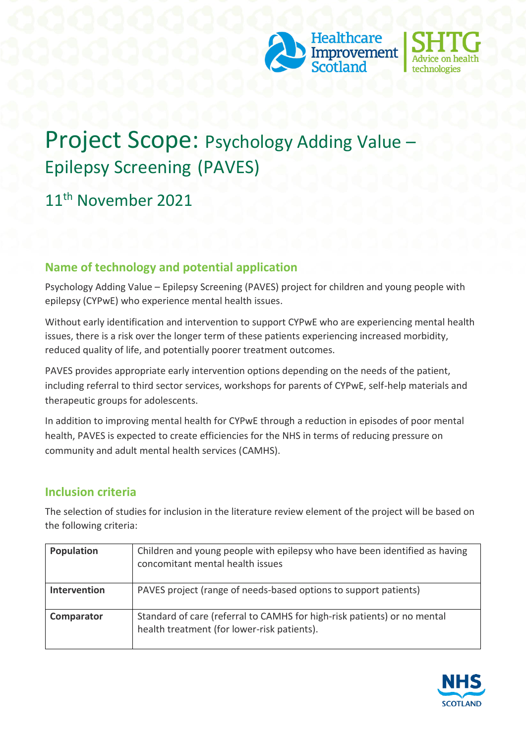



# Project Scope: Psychology Adding Value – Epilepsy Screening (PAVES)

# 11th November 2021

## **Name of technology and potential application**

Psychology Adding Value – Epilepsy Screening (PAVES) project for children and young people with epilepsy (CYPwE) who experience mental health issues.

Without early identification and intervention to support CYPwE who are experiencing mental health issues, there is a risk over the longer term of these patients experiencing increased morbidity, reduced quality of life, and potentially poorer treatment outcomes.

PAVES provides appropriate early intervention options depending on the needs of the patient, including referral to third sector services, workshops for parents of CYPwE, self-help materials and therapeutic groups for adolescents.

In addition to improving mental health for CYPwE through a reduction in episodes of poor mental health, PAVES is expected to create efficiencies for the NHS in terms of reducing pressure on community and adult mental health services (CAMHS).

## **Inclusion criteria**

The selection of studies for inclusion in the literature review element of the project will be based on the following criteria:

| Population   | Children and young people with epilepsy who have been identified as having<br>concomitant mental health issues          |
|--------------|-------------------------------------------------------------------------------------------------------------------------|
| Intervention | PAVES project (range of needs-based options to support patients)                                                        |
| Comparator   | Standard of care (referral to CAMHS for high-risk patients) or no mental<br>health treatment (for lower-risk patients). |